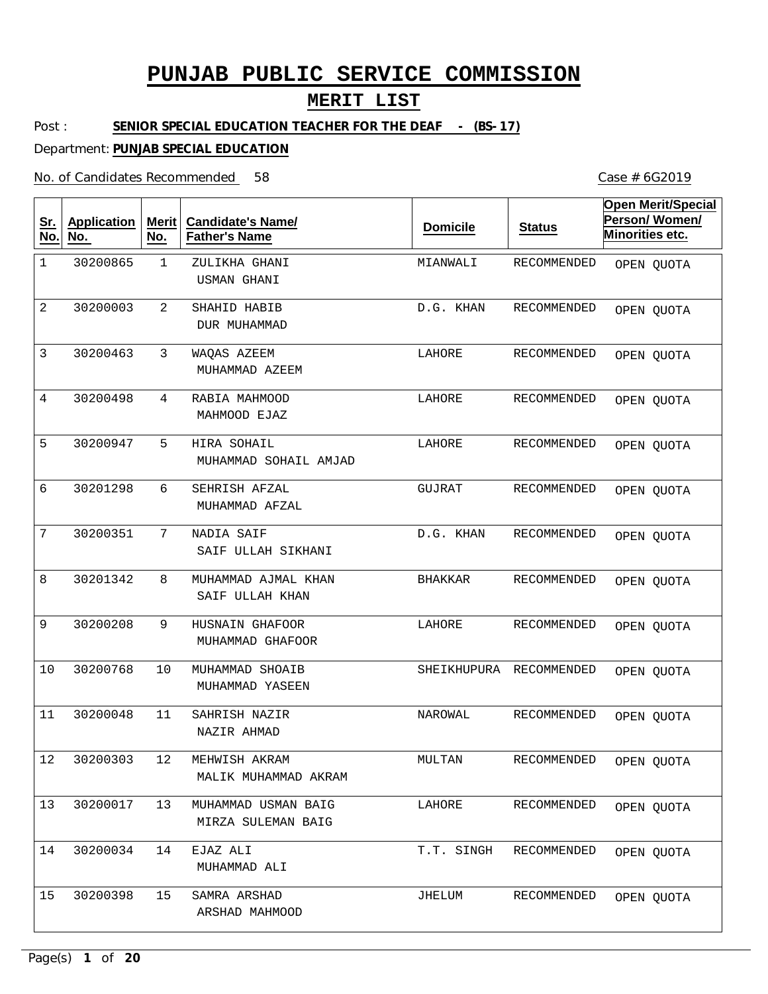### **MERIT LIST**

Post : **SENIOR SPECIAL EDUCATION TEACHER FOR THE DEAF - (BS-17)** 

Department: **PUNJAB SPECIAL EDUCATION**

No. of Candidates Recommended

| <u>Sr.</u><br>No. | <b>Application</b><br>No. | <b>Merit</b><br>No. | <b>Candidate's Name/</b><br><b>Father's Name</b> | <b>Domicile</b> | <b>Status</b>      | <b>Open Merit/Special</b><br>Person/Women/<br>Minorities etc. |
|-------------------|---------------------------|---------------------|--------------------------------------------------|-----------------|--------------------|---------------------------------------------------------------|
| $\mathbf 1$       | 30200865                  | $\mathbf 1$         | ZULIKHA GHANI<br>USMAN GHANI                     | MIANWALI        | <b>RECOMMENDED</b> | OPEN QUOTA                                                    |
| $\overline{2}$    | 30200003                  | 2                   | SHAHID HABIB<br>DUR MUHAMMAD                     | D.G. KHAN       | RECOMMENDED        | OPEN QUOTA                                                    |
| 3                 | 30200463                  | 3                   | WAQAS AZEEM<br>MUHAMMAD AZEEM                    | LAHORE          | RECOMMENDED        | OPEN QUOTA                                                    |
| $\overline{4}$    | 30200498                  | 4                   | RABIA MAHMOOD<br>MAHMOOD EJAZ                    | LAHORE          | RECOMMENDED        | OPEN QUOTA                                                    |
| 5                 | 30200947                  | 5                   | HIRA SOHAIL<br>MUHAMMAD SOHAIL AMJAD             | LAHORE          | RECOMMENDED        | OPEN QUOTA                                                    |
| 6                 | 30201298                  | 6                   | SEHRISH AFZAL<br>MUHAMMAD AFZAL                  | GUJRAT          | <b>RECOMMENDED</b> | OPEN QUOTA                                                    |
| 7                 | 30200351                  | $7\phantom{.}$      | NADIA SAIF<br>SAIF ULLAH SIKHANI                 | D.G. KHAN       | RECOMMENDED        | OPEN QUOTA                                                    |
| 8                 | 30201342                  | 8                   | MUHAMMAD AJMAL KHAN<br>SAIF ULLAH KHAN           | <b>BHAKKAR</b>  | RECOMMENDED        | OPEN QUOTA                                                    |
| 9                 | 30200208                  | 9                   | HUSNAIN GHAFOOR<br>MUHAMMAD GHAFOOR              | LAHORE          | RECOMMENDED        | OPEN QUOTA                                                    |
| 10                | 30200768                  | 10                  | MUHAMMAD SHOAIB<br>MUHAMMAD YASEEN               | SHEIKHUPURA     | RECOMMENDED        | OPEN QUOTA                                                    |
| 11                | 30200048                  | 11                  | SAHRISH NAZIR<br>NAZIR AHMAD                     | NAROWAL         | RECOMMENDED        | OPEN QUOTA                                                    |
| 12                | 30200303                  | 12                  | MEHWISH AKRAM<br>MALIK MUHAMMAD AKRAM            | MULTAN          | RECOMMENDED        | OPEN QUOTA                                                    |
| 13                | 30200017                  | 13                  | MUHAMMAD USMAN BAIG<br>MIRZA SULEMAN BAIG        | LAHORE          | RECOMMENDED        | OPEN QUOTA                                                    |
| 14                | 30200034                  | 14                  | EJAZ ALI<br>MUHAMMAD ALI                         | T.T. SINGH      | RECOMMENDED        | OPEN QUOTA                                                    |
| 15                | 30200398                  | 15                  | SAMRA ARSHAD<br>ARSHAD MAHMOOD                   | JHELUM          | RECOMMENDED        | OPEN QUOTA                                                    |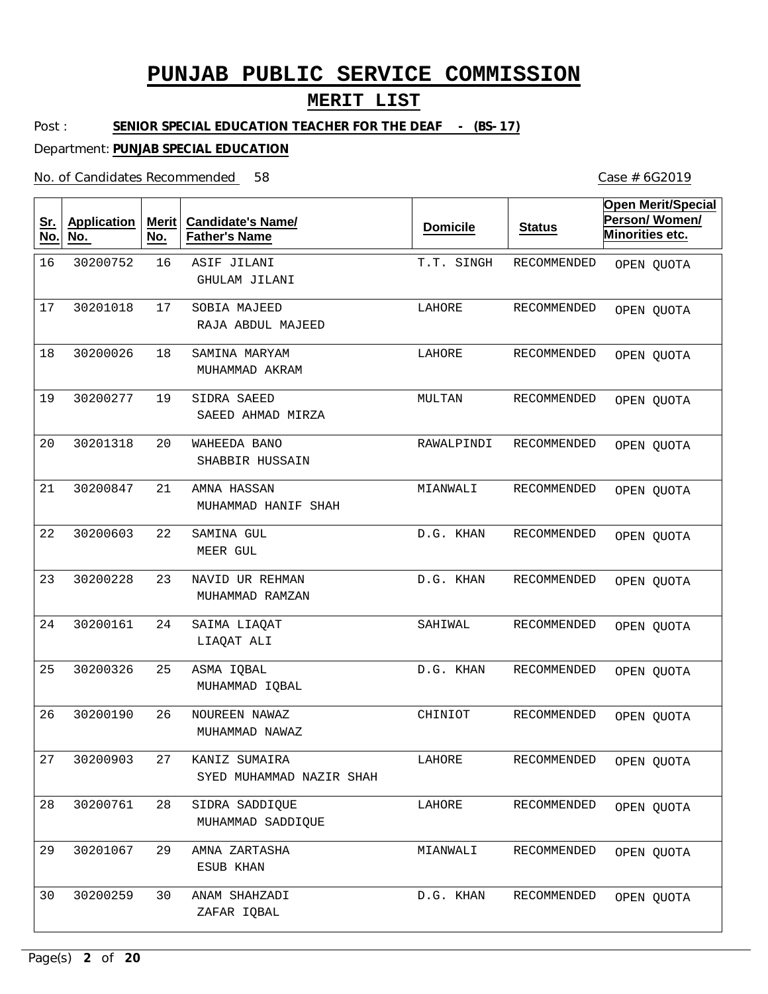### **MERIT LIST**

Post : **SENIOR SPECIAL EDUCATION TEACHER FOR THE DEAF - (BS-17)** 

Department: **PUNJAB SPECIAL EDUCATION**

No. of Candidates Recommended 58 Case # 6G2019

| <u>Sr.</u><br>No. | <b>Application</b><br>No. | <b>Merit</b><br>No. | <b>Candidate's Name/</b><br><b>Father's Name</b> | <b>Domicile</b> | <b>Status</b>      | <b>Open Merit/Special</b><br>Person/Women/<br>Minorities etc. |
|-------------------|---------------------------|---------------------|--------------------------------------------------|-----------------|--------------------|---------------------------------------------------------------|
| 16                | 30200752                  | 16                  | ASIF JILANI<br>GHULAM JILANI                     | T.T. SINGH      | RECOMMENDED        | OPEN QUOTA                                                    |
| 17                | 30201018                  | 17                  | SOBIA MAJEED<br>RAJA ABDUL MAJEED                | LAHORE          | <b>RECOMMENDED</b> | OPEN QUOTA                                                    |
| 18                | 30200026                  | 18                  | SAMINA MARYAM<br>MUHAMMAD AKRAM                  | LAHORE          | <b>RECOMMENDED</b> | OPEN QUOTA                                                    |
| 19                | 30200277                  | 19                  | SIDRA SAEED<br>SAEED AHMAD MIRZA                 | MULTAN          | RECOMMENDED        | OPEN QUOTA                                                    |
| 20                | 30201318                  | 20                  | WAHEEDA BANO<br>SHABBIR HUSSAIN                  | RAWALPINDI      | <b>RECOMMENDED</b> | OPEN QUOTA                                                    |
| 21                | 30200847                  | 21                  | AMNA HASSAN<br>MUHAMMAD HANIF SHAH               | MIANWALI        | <b>RECOMMENDED</b> | OPEN QUOTA                                                    |
| 22                | 30200603                  | 22                  | SAMINA GUL<br>MEER GUL                           | D.G. KHAN       | <b>RECOMMENDED</b> | OPEN QUOTA                                                    |
| 23                | 30200228                  | 23                  | NAVID UR REHMAN<br>MUHAMMAD RAMZAN               | D.G. KHAN       | RECOMMENDED        | OPEN QUOTA                                                    |
| 24                | 30200161                  | 24                  | SAIMA LIAQAT<br>LIAQAT ALI                       | SAHIWAL         | <b>RECOMMENDED</b> | OPEN QUOTA                                                    |
| 25                | 30200326                  | 25                  | ASMA IQBAL<br>MUHAMMAD IQBAL                     | D.G. KHAN       | RECOMMENDED        | OPEN QUOTA                                                    |
| 26                | 30200190                  | 26                  | NOUREEN NAWAZ<br>MUHAMMAD NAWAZ                  | CHINIOT         | RECOMMENDED        | OPEN QUOTA                                                    |
| 27                | 30200903                  | 27                  | KANIZ SUMAIRA<br>SYED MUHAMMAD NAZIR SHAH        | LAHORE          | RECOMMENDED        | OPEN QUOTA                                                    |
| 28                | 30200761                  | 28                  | SIDRA SADDIQUE<br>MUHAMMAD SADDIOUE              | LAHORE          | RECOMMENDED        | OPEN QUOTA                                                    |
| 29                | 30201067                  | 29                  | AMNA ZARTASHA<br>ESUB KHAN                       | MIANWALI        | RECOMMENDED        | OPEN QUOTA                                                    |
| 30                | 30200259                  | 30                  | ANAM SHAHZADI<br>ZAFAR IQBAL                     | D.G. KHAN       | RECOMMENDED        | OPEN QUOTA                                                    |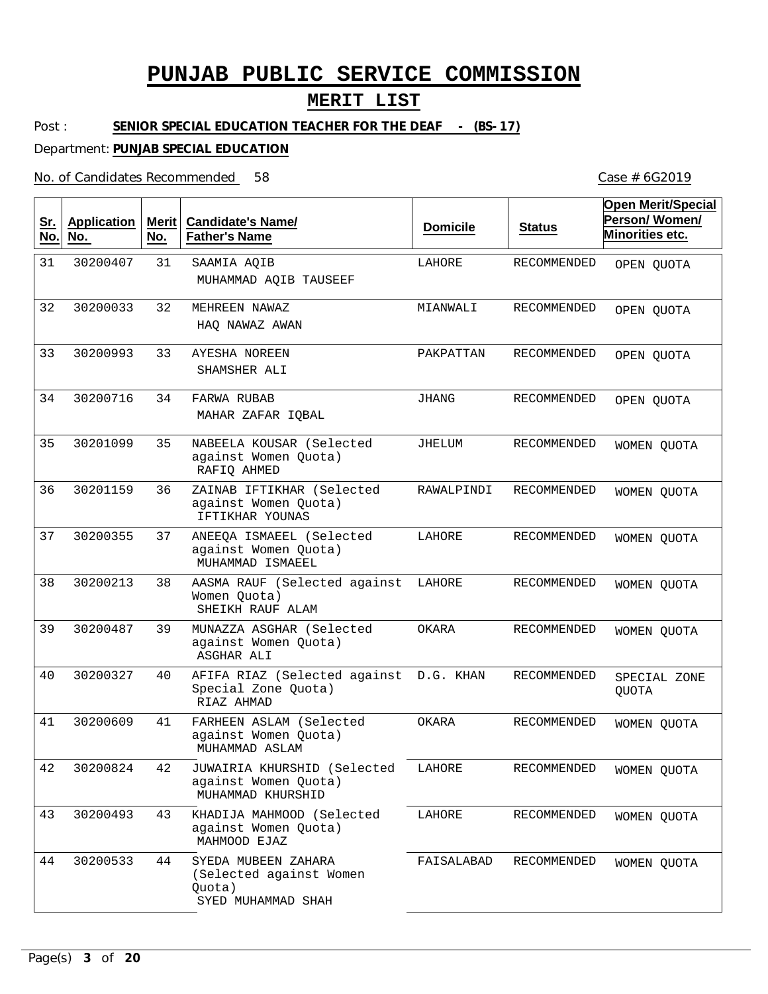#### **MERIT LIST**

Post : SENIOR SPECIAL EDUCATION TEACHER FOR THE DEAF - (BS-17)

Department: **PUNJAB SPECIAL EDUCATION**

No. of Candidates Recommended

31 32 33 34 35 36 37 38 39 40 41 42 43 44 SAAMIA AQIB MEHREEN NAWAZ AYESHA NOREEN FARWA RUBAB NABEELA KOUSAR (Selected against Women Quota) ZAINAB IFTIKHAR (Selected against Women Quota) ANEEQA ISMAEEL (Selected against Women Quota) AASMA RAUF (Selected against Women Quota) MUNAZZA ASGHAR (Selected against Women Quota) AFIFA RIAZ (Selected against D.G. KHAN Special Zone Quota) FARHEEN ASLAM (Selected against Women Quota) JUWAIRIA KHURSHID (Selected against Women Quota) KHADIJA MAHMOOD (Selected against Women Quota) SYEDA MUBEEN ZAHARA (Selected against Women Quota) MUHAMMAD AQIB TAUSEEF HAQ NAWAZ AWAN SHAMSHER ALI MAHAR ZAFAR IQBAL RAFIQ AHMED IFTIKHAR YOUNAS MUHAMMAD ISMAEEL SHEIKH RAUF ALAM ASGHAR ALI RIAZ AHMAD MUHAMMAD ASLAM MUHAMMAD KHURSHID MAHMOOD EJAZ SYED MUHAMMAD SHAH 31 32 33 34 35 36 37 38 39 40 41 42 43 44 30200407 30200033 30200993 30200716 30201099 30201159 30200355 30200213 30200487 30200327 30200609 30200824 30200493 30200533 LAHORE MIANWALI PAKPATTAN JHANG JHELUM RAWALPINDI LAHORE LAHORE OKARA OKARA LAHORE LAHORE FAISALABAD RECOMMENDED RECOMMENDED RECOMMENDED RECOMMENDED RECOMMENDED RECOMMENDED RECOMMENDED RECOMMENDED RECOMMENDED RECOMMENDED RECOMMENDED RECOMMENDED RECOMMENDED RECOMMENDED **Sr. No. Application No. Merit No. Candidate's Name/ Father's Name Domicile Status Open Merit/Special Person/ Women/ Minorities etc.** OPEN QUOTA OPEN QUOTA OPEN QUOTA OPEN QUOTA WOMEN QUOTA WOMEN QUOTA WOMEN QUOTA WOMEN QUOTA WOMEN QUOTA SPECIAL ZONE QUOTA WOMEN QUOTA WOMEN QUOTA WOMEN QUOTA WOMEN QUOTA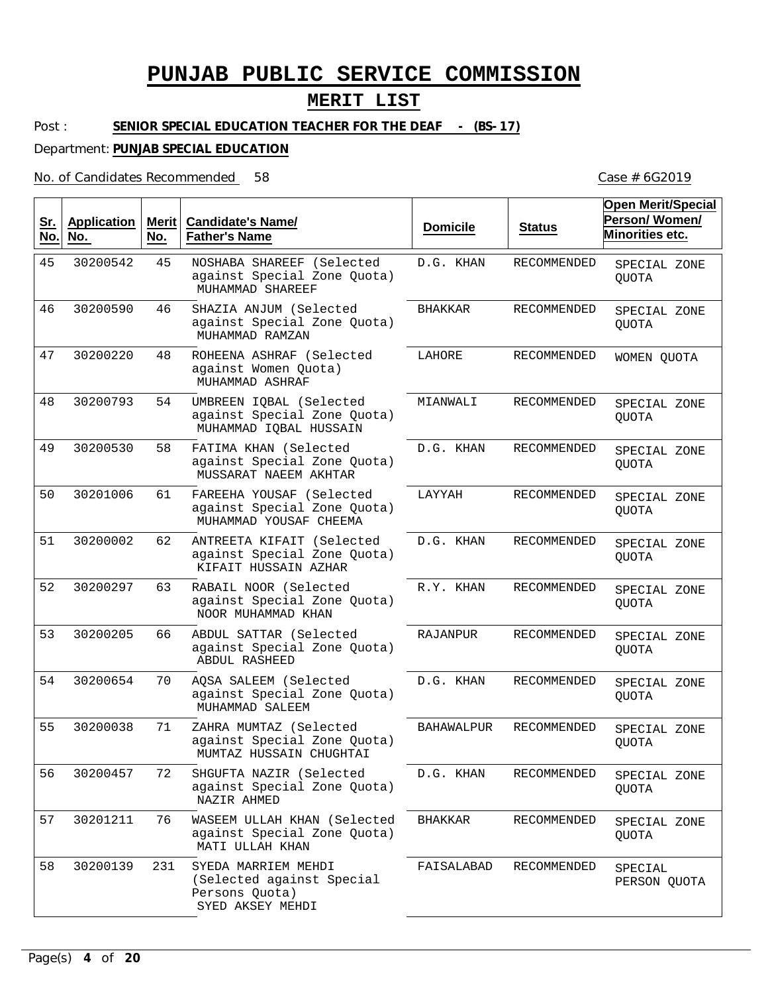### **MERIT LIST**

#### Post : **SENIOR SPECIAL EDUCATION TEACHER FOR THE DEAF - (BS-17)**

#### Department: **PUNJAB SPECIAL EDUCATION**

#### No. of Candidates Recommended

| <u>Sr.</u><br>No. | <b>Application</b><br>No. | Merit $ $<br>No. | <b>Candidate's Name/</b><br><b>Father's Name</b>                                       | <b>Domicile</b>   | <b>Status</b>      | <b>Open Merit/Special</b><br>Person/Women/<br>Minorities etc. |
|-------------------|---------------------------|------------------|----------------------------------------------------------------------------------------|-------------------|--------------------|---------------------------------------------------------------|
| 45                | 30200542                  | 45               | NOSHABA SHAREEF (Selected<br>against Special Zone Quota)<br>MUHAMMAD SHAREEF           | D.G. KHAN         | RECOMMENDED        | SPECIAL ZONE<br>QUOTA                                         |
| 46                | 30200590                  | 46               | SHAZIA ANJUM (Selected<br>against Special Zone Quota)<br>MUHAMMAD RAMZAN               | <b>BHAKKAR</b>    | <b>RECOMMENDED</b> | SPECIAL ZONE<br><b>QUOTA</b>                                  |
| 47                | 30200220                  | 48               | ROHEENA ASHRAF (Selected<br>against Women Quota)<br>MUHAMMAD ASHRAF                    | LAHORE            | <b>RECOMMENDED</b> | WOMEN OUOTA                                                   |
| 48                | 30200793                  | 54               | UMBREEN IQBAL (Selected<br>against Special Zone Quota)<br>MUHAMMAD IQBAL HUSSAIN       | MIANWALI          | RECOMMENDED        | SPECIAL ZONE<br><b>QUOTA</b>                                  |
| 49                | 30200530                  | 58               | FATIMA KHAN (Selected<br>against Special Zone Quota)<br>MUSSARAT NAEEM AKHTAR          | D.G. KHAN         | RECOMMENDED        | SPECIAL ZONE<br><b>QUOTA</b>                                  |
| 50                | 30201006                  | 61               | FAREEHA YOUSAF (Selected<br>against Special Zone Quota)<br>MUHAMMAD YOUSAF CHEEMA      | LAYYAH            | RECOMMENDED        | SPECIAL ZONE<br><b>QUOTA</b>                                  |
| 51                | 30200002                  | 62               | ANTREETA KIFAIT (Selected<br>against Special Zone Quota)<br>KIFAIT HUSSAIN AZHAR       | D.G. KHAN         | RECOMMENDED        | SPECIAL ZONE<br><b>OUOTA</b>                                  |
| 52                | 30200297                  | 63               | RABAIL NOOR (Selected<br>against Special Zone Quota)<br>NOOR MUHAMMAD KHAN             | R.Y. KHAN         | RECOMMENDED        | SPECIAL ZONE<br><b>QUOTA</b>                                  |
| 53                | 30200205                  | 66               | ABDUL SATTAR (Selected<br>against Special Zone Quota)<br><b>ABDUL RASHEED</b>          | RAJANPUR          | RECOMMENDED        | SPECIAL ZONE<br><b>QUOTA</b>                                  |
| 54                | 30200654                  | 70               | AQSA SALEEM (Selected<br>against Special Zone Quota)<br>MUHAMMAD SALEEM                | D.G. KHAN         | RECOMMENDED        | SPECIAL ZONE<br>QUOTA                                         |
| 55                | 30200038                  | 71               | ZAHRA MUMTAZ (Selected<br>against Special Zone Quota)<br>MUMTAZ HUSSAIN CHUGHTAI       | <b>BAHAWALPUR</b> | RECOMMENDED        | SPECIAL ZONE<br><b>QUOTA</b>                                  |
| 56                | 30200457                  | 72               | SHGUFTA NAZIR (Selected<br>against Special Zone Quota)<br>NAZIR AHMED                  | D.G. KHAN         | RECOMMENDED        | SPECIAL ZONE<br><b>OUOTA</b>                                  |
| 57                | 30201211                  | 76               | WASEEM ULLAH KHAN (Selected<br>against Special Zone Quota)<br>MATI ULLAH KHAN          | <b>BHAKKAR</b>    | RECOMMENDED        | SPECIAL ZONE<br>QUOTA                                         |
| 58                | 30200139                  | 231              | SYEDA MARRIEM MEHDI<br>(Selected against Special<br>Persons Quota)<br>SYED AKSEY MEHDI | FAISALABAD        | RECOMMENDED        | SPECIAL<br>PERSON QUOTA                                       |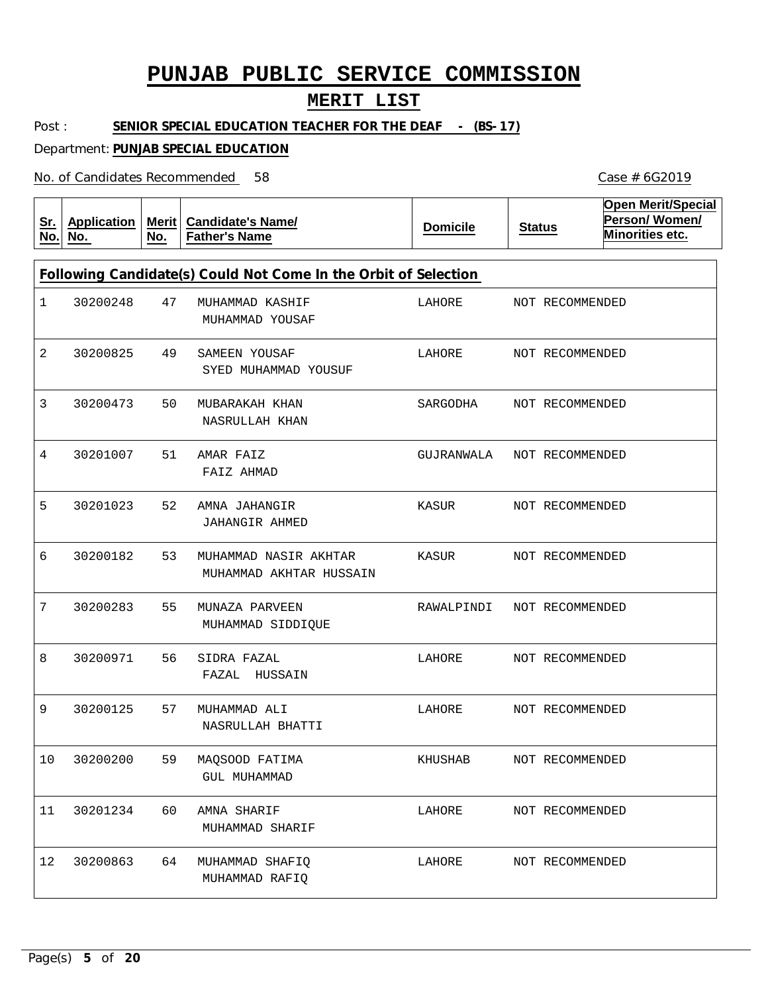### **MERIT LIST**

Post : **SENIOR SPECIAL EDUCATION TEACHER FOR THE DEAF - (BS-17)** 

Department: **PUNJAB SPECIAL EDUCATION**

No. of Candidates Recommended

| <u>Sr.</u><br>No. | <b>Application</b><br>No.                                       | Merit $ $<br>No. | <b>Candidate's Name/</b><br><b>Father's Name</b> | <b>Domicile</b> | <b>Status</b> | <b>Open Merit/Special</b><br>Person/Women/<br>Minorities etc. |  |  |  |  |
|-------------------|-----------------------------------------------------------------|------------------|--------------------------------------------------|-----------------|---------------|---------------------------------------------------------------|--|--|--|--|
|                   | Following Candidate(s) Could Not Come In the Orbit of Selection |                  |                                                  |                 |               |                                                               |  |  |  |  |
| 1                 | 30200248                                                        | 47               | MUHAMMAD KASHIF<br>MUHAMMAD YOUSAF               | LAHORE          |               | NOT RECOMMENDED                                               |  |  |  |  |
| 2                 | 30200825                                                        | 49               | SAMEEN YOUSAF<br>SYED MUHAMMAD YOUSUF            | LAHORE          |               | NOT RECOMMENDED                                               |  |  |  |  |
| 3                 | 30200473                                                        | 50               | MUBARAKAH KHAN<br>NASRULLAH KHAN                 | SARGODHA        |               | NOT RECOMMENDED                                               |  |  |  |  |
| 4                 | 30201007                                                        | 51               | AMAR FAIZ<br>FAIZ AHMAD                          | GUJRANWALA      |               | NOT RECOMMENDED                                               |  |  |  |  |
| 5                 | 30201023                                                        | 52               | AMNA JAHANGIR<br>JAHANGIR AHMED                  | KASUR           |               | NOT RECOMMENDED                                               |  |  |  |  |
| 6                 | 30200182                                                        | 53               | MUHAMMAD NASIR AKHTAR<br>MUHAMMAD AKHTAR HUSSAIN | KASUR           |               | NOT RECOMMENDED                                               |  |  |  |  |
| 7                 | 30200283                                                        | 55               | MUNAZA PARVEEN<br>MUHAMMAD SIDDIQUE              | RAWALPINDI      |               | NOT RECOMMENDED                                               |  |  |  |  |
| 8                 | 30200971                                                        | 56               | SIDRA FAZAL<br>FAZAL<br>HUSSAIN                  | LAHORE          |               | NOT RECOMMENDED                                               |  |  |  |  |
| 9                 | 30200125                                                        | 57               | MUHAMMAD ALI<br>NASRULLAH BHATTI                 | LAHORE          |               | NOT RECOMMENDED                                               |  |  |  |  |
| 10                | 30200200                                                        | 59               | MAQSOOD FATIMA<br><b>GUL MUHAMMAD</b>            | KHUSHAB         |               | NOT RECOMMENDED                                               |  |  |  |  |
| 11                | 30201234                                                        | 60               | AMNA SHARIF<br>MUHAMMAD SHARIF                   | LAHORE          |               | NOT RECOMMENDED                                               |  |  |  |  |
| 12                | 30200863                                                        | 64               | MUHAMMAD SHAFIQ<br>MUHAMMAD RAFIQ                | LAHORE          |               | NOT RECOMMENDED                                               |  |  |  |  |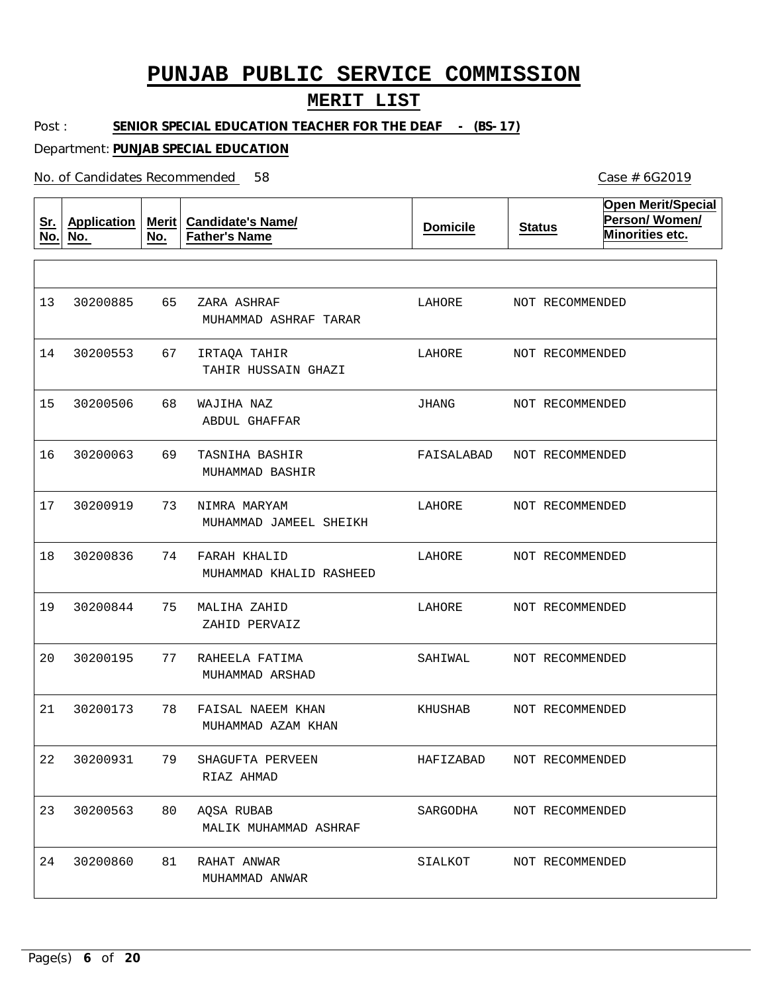#### **MERIT LIST**

Post : SENIOR SPECIAL EDUCATION TEACHER FOR THE DEAF - (BS-17)

Department: **PUNJAB SPECIAL EDUCATION**

No. of Candidates Recommended

**Sr. No. Application No. Merit No. Candidate's Name/ Father's Name Domicile Status Open Merit/Special Person/ Women/ Minorities etc.** 65 67 68 69 73 74 75 77 78 79 80 81 ZARA ASHRAF IRTAQA TAHIR WAJIHA NAZ TASNIHA BASHIR NIMRA MARYAM FARAH KHALID MALIHA ZAHID RAHEELA FATIMA FAISAL NAEEM KHAN SHAGUFTA PERVEEN AQSA RUBAB RAHAT ANWAR MUHAMMAD ASHRAF TARAR TAHIR HUSSAIN GHAZI ABDUL GHAFFAR MUHAMMAD BASHIR MUHAMMAD JAMEEL SHEIKH MUHAMMAD KHALID RASHEED ZAHID PERVAIZ MUHAMMAD ARSHAD MUHAMMAD AZAM KHAN RIAZ AHMAD MALIK MUHAMMAD ASHRAF MUHAMMAD ANWAR 13 14 30200553 15 16 17 18 19 20 21 22 30200931 23 24 30200885 30200506 30200063 30200919 30200836 30200844 30200195 30200173 30200563 30200860 LAHORE LAHORE JHANG FAISALABAD LAHORE LAHORE LAHORE SAHIWAL KHUSHAB HAFIZABAD SARGODHA SIALKOT NOT RECOMMENDED NOT RECOMMENDED NOT RECOMMENDED NOT RECOMMENDED NOT RECOMMENDED NOT RECOMMENDED NOT RECOMMENDED NOT RECOMMENDED NOT RECOMMENDED NOT RECOMMENDED NOT RECOMMENDED NOT RECOMMENDED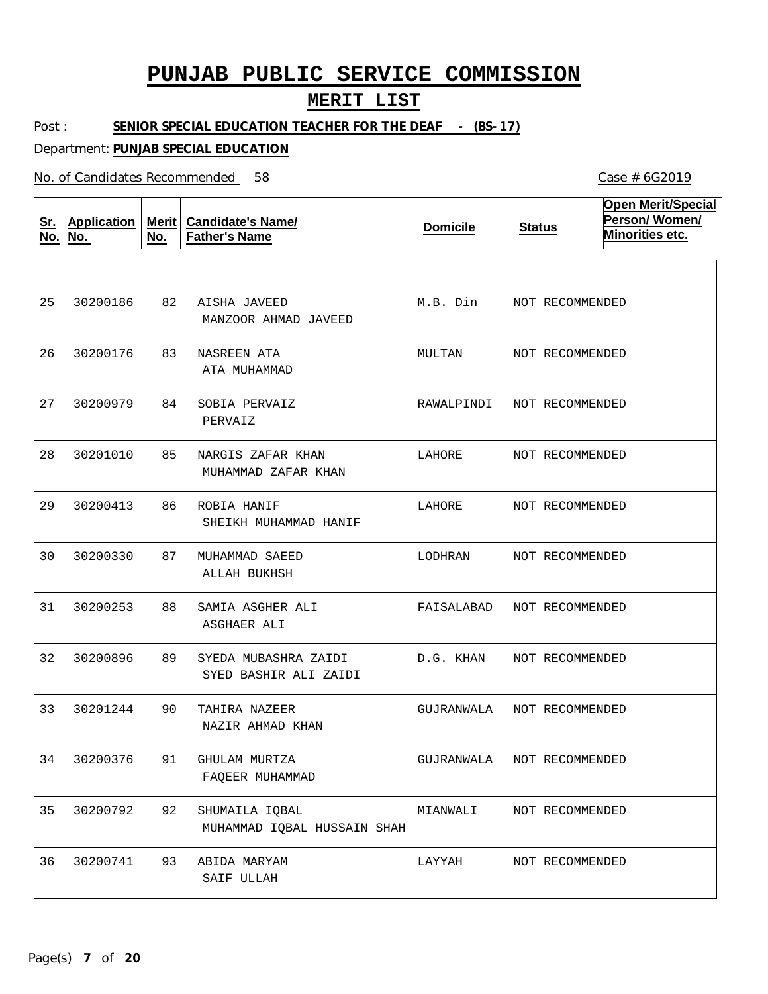#### **MERIT LIST**

Post : SENIOR SPECIAL EDUCATION TEACHER FOR THE DEAF - (BS-17)

Department: **PUNJAB SPECIAL EDUCATION**

No. of Candidates Recommended

**Sr. No. Application No. Merit No. Candidate's Name/ Father's Name Domicile Status Open Merit/Special Person/ Women/ Minorities etc.** 82 83 NASREEN ATA 84 85 86 87 88 89 90 91 92 93 AISHA JAVEED SOBIA PERVAIZ NARGIS ZAFAR KHAN ROBIA HANIF MUHAMMAD SAEED SAMIA ASGHER ALI SYEDA MUBASHRA ZAIDI TAHIRA NAZEER GHULAM MURTZA SHUMAILA IQBAL ABIDA MARYAM MANZOOR AHMAD JAVEED ATA MUHAMMAD PERVAIZ MUHAMMAD ZAFAR KHAN SHEIKH MUHAMMAD HANIF ALLAH BUKHSH ASGHAER ALI SYED BASHIR ALI ZAIDI NAZIR AHMAD KHAN FAQEER MUHAMMAD MUHAMMAD IQBAL HUSSAIN SHAH SAIF ULLAH 25 26 30200176 27 28 29 30 31 32 30200896 33 34 30200376 35 36 30200186 30200979 30201010 30200413 30200330 30200253 30201244 30200792 30200741 M.B. Din MULTAN RAWALPINDI LAHORE LAHORE LODHRAN FAISALABAD D.G. KHAN GUJRANWALA GUJRANWALA MIANWALI LAYYAH NOT RECOMMENDED NOT RECOMMENDED NOT RECOMMENDED NOT RECOMMENDED NOT RECOMMENDED NOT RECOMMENDED NOT RECOMMENDED NOT RECOMMENDED NOT RECOMMENDED NOT RECOMMENDED NOT RECOMMENDED NOT RECOMMENDED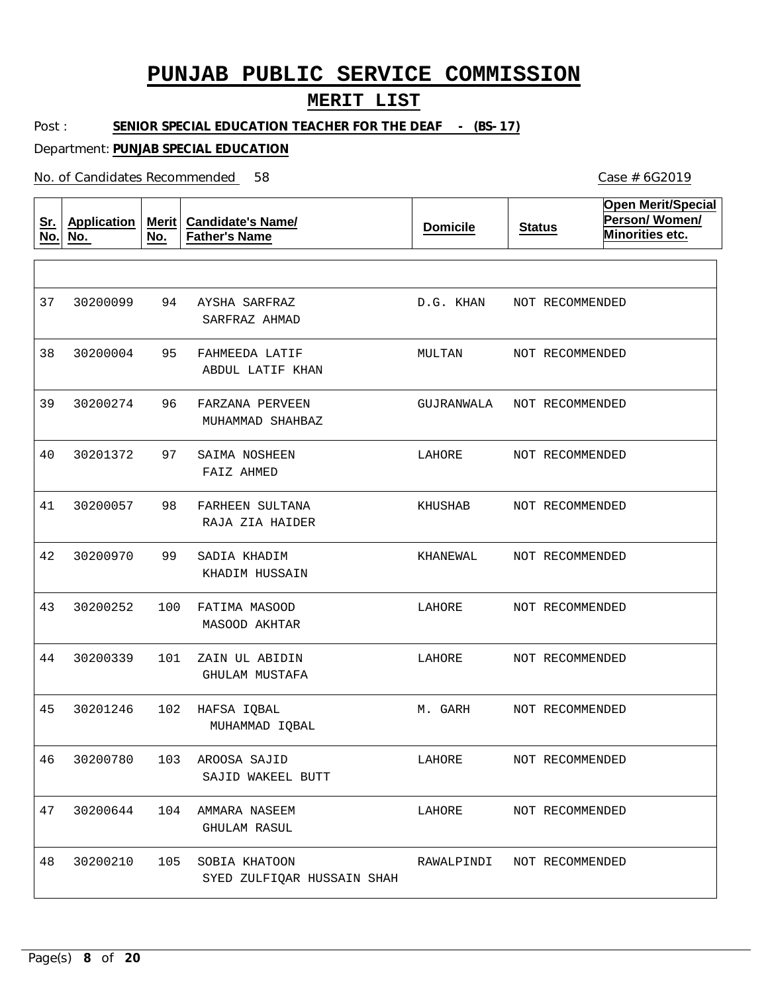### **MERIT LIST**

Post : **SENIOR SPECIAL EDUCATION TEACHER FOR THE DEAF - (BS-17)** 

Department: **PUNJAB SPECIAL EDUCATION**

| <u>Sr.</u><br>No. | <b>Application</b><br>No. | <b>Merit</b><br>No. | <b>Candidate's Name/</b><br><b>Father's Name</b> | <b>Domicile</b> | <b>Status</b>   | <b>Open Merit/Special</b><br>Person/Women/<br>Minorities etc. |
|-------------------|---------------------------|---------------------|--------------------------------------------------|-----------------|-----------------|---------------------------------------------------------------|
|                   |                           |                     |                                                  |                 |                 |                                                               |
| 37                | 30200099                  | 94                  | AYSHA SARFRAZ<br>SARFRAZ AHMAD                   | D.G. KHAN       | NOT RECOMMENDED |                                                               |
| 38                | 30200004                  | 95                  | FAHMEEDA LATIF<br>ABDUL LATIF KHAN               | MULTAN          | NOT RECOMMENDED |                                                               |
| 39                | 30200274                  | 96                  | FARZANA PERVEEN<br>MUHAMMAD SHAHBAZ              | GUJRANWALA      | NOT RECOMMENDED |                                                               |
| 40                | 30201372                  | 97                  | SAIMA NOSHEEN<br>FAIZ AHMED                      | LAHORE          | NOT RECOMMENDED |                                                               |
| 41                | 30200057                  | 98                  | FARHEEN SULTANA<br>RAJA ZIA HAIDER               | KHUSHAB         | NOT RECOMMENDED |                                                               |
| 42                | 30200970                  | 99                  | SADIA KHADIM<br>KHADIM HUSSAIN                   | KHANEWAL        | NOT RECOMMENDED |                                                               |
| 43                | 30200252                  | 100                 | FATIMA MASOOD<br>MASOOD AKHTAR                   | LAHORE          | NOT RECOMMENDED |                                                               |
| 44                | 30200339                  | 101                 | ZAIN UL ABIDIN<br>GHULAM MUSTAFA                 | LAHORE          | NOT RECOMMENDED |                                                               |
| 45                | 30201246                  | 102                 | HAFSA IQBAL<br>MUHAMMAD IQBAL                    | M. GARH         | NOT RECOMMENDED |                                                               |
| 46                | 30200780                  |                     | 103 AROOSA SAJID<br>SAJID WAKEEL BUTT            | LAHORE          | NOT RECOMMENDED |                                                               |
| 47                | 30200644                  | 104                 | AMMARA NASEEM<br><b>GHULAM RASUL</b>             | LAHORE          | NOT RECOMMENDED |                                                               |
| 48                | 30200210                  | 105                 | SOBIA KHATOON<br>SYED ZULFIQAR HUSSAIN SHAH      | RAWALPINDI      | NOT RECOMMENDED |                                                               |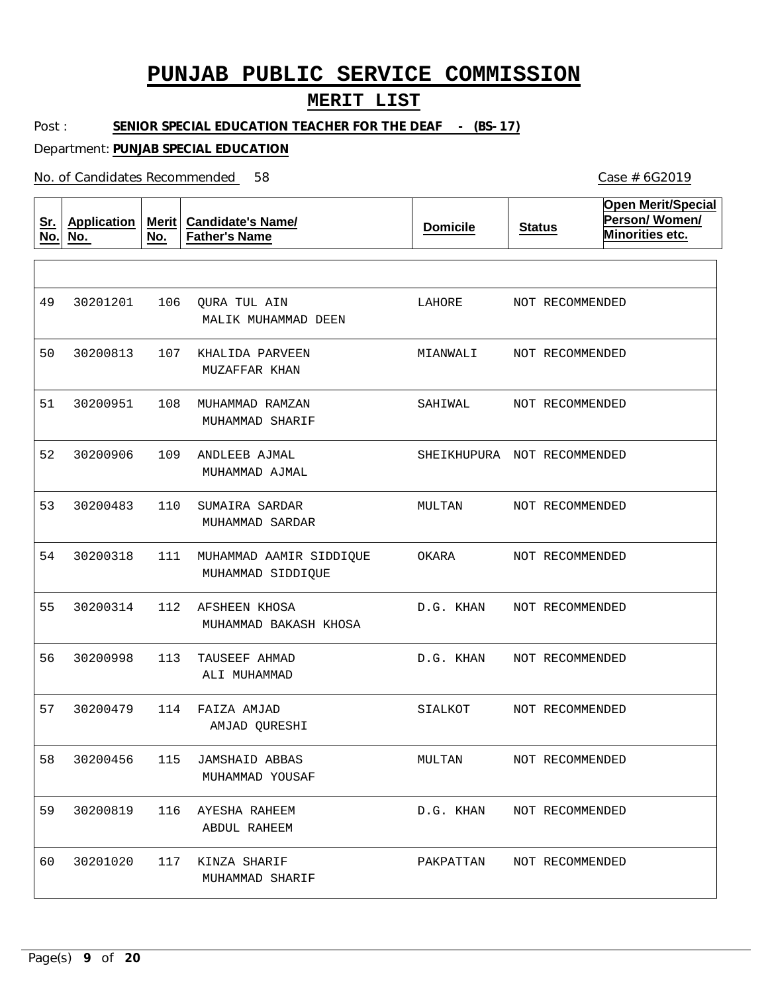#### **MERIT LIST**

Post : SENIOR SPECIAL EDUCATION TEACHER FOR THE DEAF - (BS-17)

Department: **PUNJAB SPECIAL EDUCATION**

No. of Candidates Recommended

**Sr. No. Application No. Merit No. Candidate's Name/ Father's Name Domicile Status Open Merit/Special Person/ Women/ Minorities etc.** 106 QURA TUL AIN 107 KHALIDA PARVEEN 108 MUHAMMAD RAMZAN 109 ANDLEEB AJMAL 110 111 MUHAMMAD AAMIR SIDDIQUE 112 AFSHEEN KHOSA 113 TAUSEEF AHMAD 114 FAIZA AMJAD 115 JAMSHAID ABBAS 116 AYESHA RAHEEM 117 KINZA SHARIF SUMAIRA SARDAR MALIK MUHAMMAD DEEN MUZAFFAR KHAN MUHAMMAD SHARIF MUHAMMAD AJMAL MUHAMMAD SARDAR MUHAMMAD SIDDIQUE MUHAMMAD BAKASH KHOSA ALI MUHAMMAD AMJAD QURESHI MUHAMMAD YOUSAF ABDUL RAHEEM MUHAMMAD SHARIF 49 50 30200813 51 52 53 54 55 56 57 58 59 60 30201201 30200951 30200906 30200483 30200318 30200314 30200998 30200479 30200456 30200819 30201020 LAHORE MIANWALI SAHIWAL SHEIKHUPURA NOT RECOMMENDED MULTAN OKARA D.G. KHAN D.G. KHAN SIALKOT MULTAN D.G. KHAN PAKPATTAN NOT RECOMMENDED NOT RECOMMENDED NOT RECOMMENDED NOT RECOMMENDED NOT RECOMMENDED NOT RECOMMENDED NOT RECOMMENDED NOT RECOMMENDED NOT RECOMMENDED NOT RECOMMENDED NOT RECOMMENDED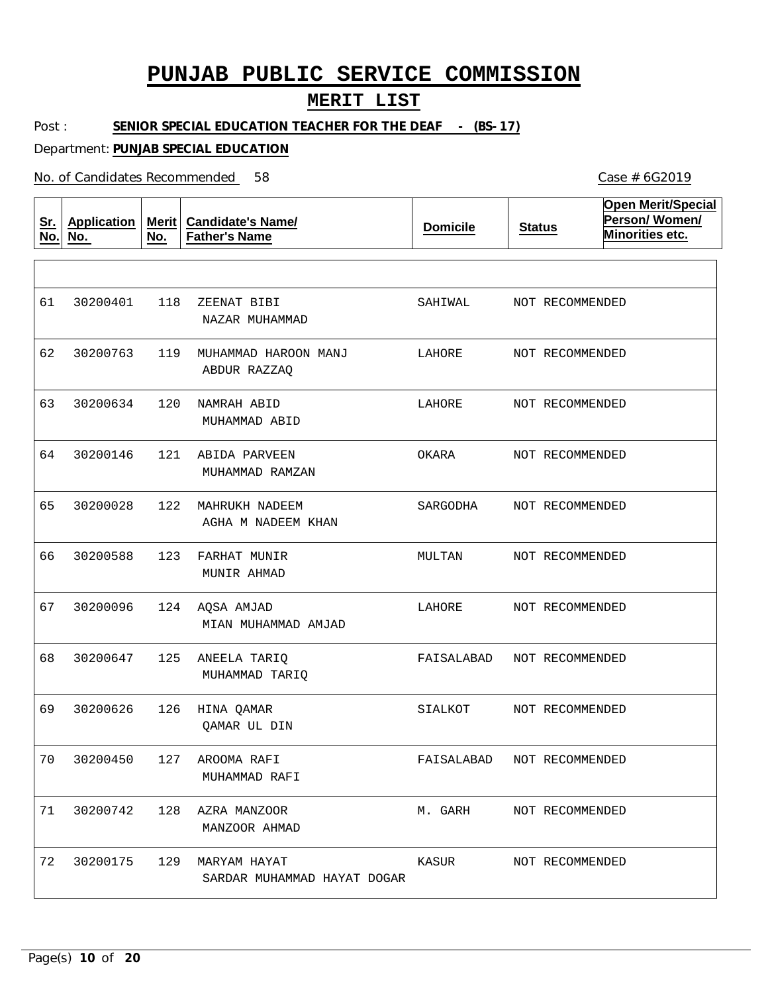### **MERIT LIST**

Post : **SENIOR SPECIAL EDUCATION TEACHER FOR THE DEAF - (BS-17)** 

Department: **PUNJAB SPECIAL EDUCATION**

| <u>Sr.</u><br>No. | <b>Application</b><br>No. | <b>Merit</b><br>No. | <b>Candidate's Name/</b><br><b>Father's Name</b> | <b>Domicile</b> | <b>Status</b>   | <b>Open Merit/Special</b><br>Person/Women/<br>Minorities etc. |
|-------------------|---------------------------|---------------------|--------------------------------------------------|-----------------|-----------------|---------------------------------------------------------------|
|                   |                           |                     |                                                  |                 |                 |                                                               |
| 61                | 30200401                  | 118                 | ZEENAT BIBI<br>NAZAR MUHAMMAD                    | SAHIWAL         | NOT RECOMMENDED |                                                               |
| 62                | 30200763                  | 119                 | MUHAMMAD HAROON MANJ<br>ABDUR RAZZAQ             | LAHORE          | NOT RECOMMENDED |                                                               |
| 63                | 30200634                  | 120                 | NAMRAH ABID<br>MUHAMMAD ABID                     | LAHORE          | NOT RECOMMENDED |                                                               |
| 64                | 30200146                  | 121                 | ABIDA PARVEEN<br>MUHAMMAD RAMZAN                 | OKARA           | NOT RECOMMENDED |                                                               |
| 65                | 30200028                  | 122                 | MAHRUKH NADEEM<br>AGHA M NADEEM KHAN             | SARGODHA        | NOT RECOMMENDED |                                                               |
| 66                | 30200588                  | 123                 | FARHAT MUNIR<br>MUNIR AHMAD                      | MULTAN          | NOT RECOMMENDED |                                                               |
| 67                | 30200096                  | 124                 | AQSA AMJAD<br>MIAN MUHAMMAD AMJAD                | LAHORE          | NOT RECOMMENDED |                                                               |
| 68                | 30200647                  | 125                 | ANEELA TARIQ<br>MUHAMMAD TARIQ                   | FAISALABAD      | NOT RECOMMENDED |                                                               |
| 69                | 30200626                  | 126                 | HINA QAMAR<br>QAMAR UL DIN                       | SIALKOT         | NOT RECOMMENDED |                                                               |
| 70                | 30200450                  | 127                 | AROOMA RAFI<br>MUHAMMAD RAFI                     | FAISALABAD      | NOT RECOMMENDED |                                                               |
| 71                | 30200742                  | 128                 | AZRA MANZOOR<br>MANZOOR AHMAD                    | M. GARH         | NOT RECOMMENDED |                                                               |
| 72                | 30200175                  | 129                 | MARYAM HAYAT<br>SARDAR MUHAMMAD HAYAT DOGAR      | KASUR           | NOT RECOMMENDED |                                                               |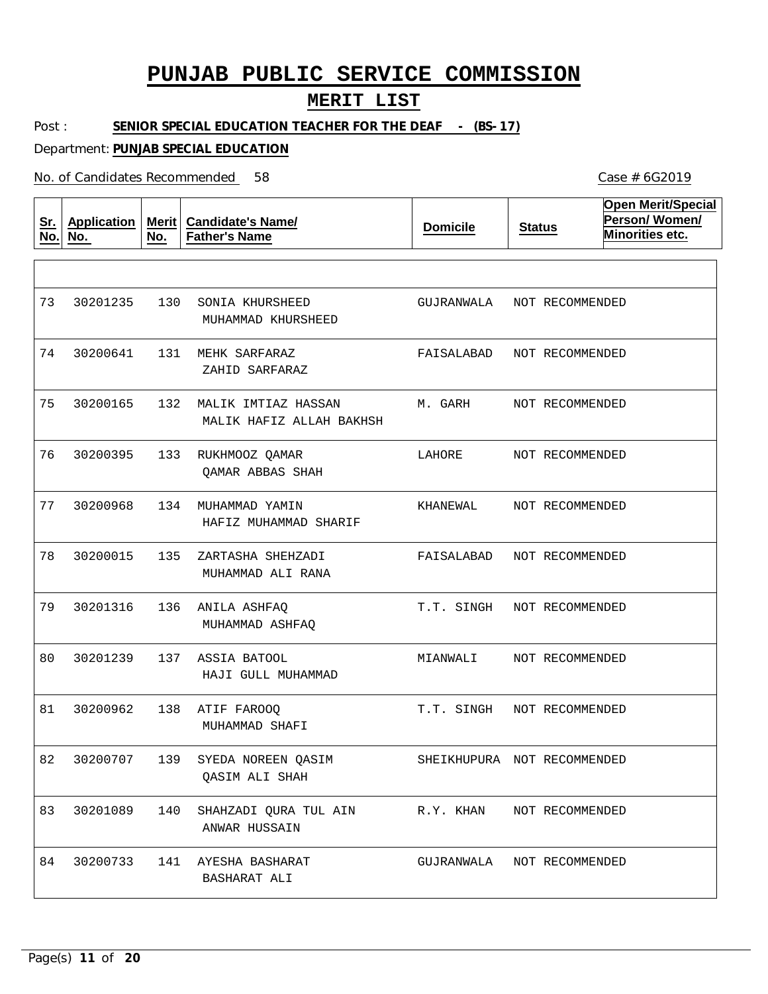### **MERIT LIST**

Post : **SENIOR SPECIAL EDUCATION TEACHER FOR THE DEAF - (BS-17)** 

Department: **PUNJAB SPECIAL EDUCATION**

No. of Candidates Recommended

| <u>Sr.</u><br>No. | <b>Application</b><br>No. | Merit  <br>No. | <b>Candidate's Name/</b><br><b>Father's Name</b> | <b>Domicile</b>             | <b>Status</b>   | <b>Open Merit/Special</b><br>Person/Women/<br>Minorities etc. |
|-------------------|---------------------------|----------------|--------------------------------------------------|-----------------------------|-----------------|---------------------------------------------------------------|
|                   |                           |                |                                                  |                             |                 |                                                               |
| 73                | 30201235                  | 130            | SONIA KHURSHEED<br>MUHAMMAD KHURSHEED            | GUJRANWALA                  | NOT RECOMMENDED |                                                               |
| 74                | 30200641                  | 131            | MEHK SARFARAZ<br>ZAHID SARFARAZ                  | FAISALABAD                  | NOT RECOMMENDED |                                                               |
| 75                | 30200165                  | 132            | MALIK IMTIAZ HASSAN<br>MALIK HAFIZ ALLAH BAKHSH  | M. GARH                     | NOT RECOMMENDED |                                                               |
| 76                | 30200395                  | 133            | RUKHMOOZ QAMAR<br>QAMAR ABBAS SHAH               | LAHORE                      | NOT RECOMMENDED |                                                               |
| 77                | 30200968                  | 134            | MUHAMMAD YAMIN<br>HAFIZ MUHAMMAD SHARIF          | KHANEWAL                    | NOT RECOMMENDED |                                                               |
| 78                | 30200015                  | 135            | ZARTASHA SHEHZADI<br>MUHAMMAD ALI RANA           | FAISALABAD                  | NOT RECOMMENDED |                                                               |
| 79                | 30201316                  | 136            | ANILA ASHFAQ<br>MUHAMMAD ASHFAQ                  | T.T. SINGH                  | NOT RECOMMENDED |                                                               |
| 80                | 30201239                  | 137            | ASSIA BATOOL<br>HAJI GULL MUHAMMAD               | MIANWALI                    | NOT RECOMMENDED |                                                               |
| 81                | 30200962                  | 138            | ATIF FAROOQ<br>MUHAMMAD SHAFI                    | T.T. SINGH                  | NOT RECOMMENDED |                                                               |
| 82                | 30200707                  | 139            | SYEDA NOREEN QASIM<br><b>QASIM ALI SHAH</b>      | SHEIKHUPURA NOT RECOMMENDED |                 |                                                               |
| 83                | 30201089                  | 140            | SHAHZADI QURA TUL AIN<br>ANWAR HUSSAIN           | R.Y. KHAN                   | NOT RECOMMENDED |                                                               |
| 84                | 30200733                  | 141            | AYESHA BASHARAT<br>BASHARAT ALI                  | GUJRANWALA                  | NOT RECOMMENDED |                                                               |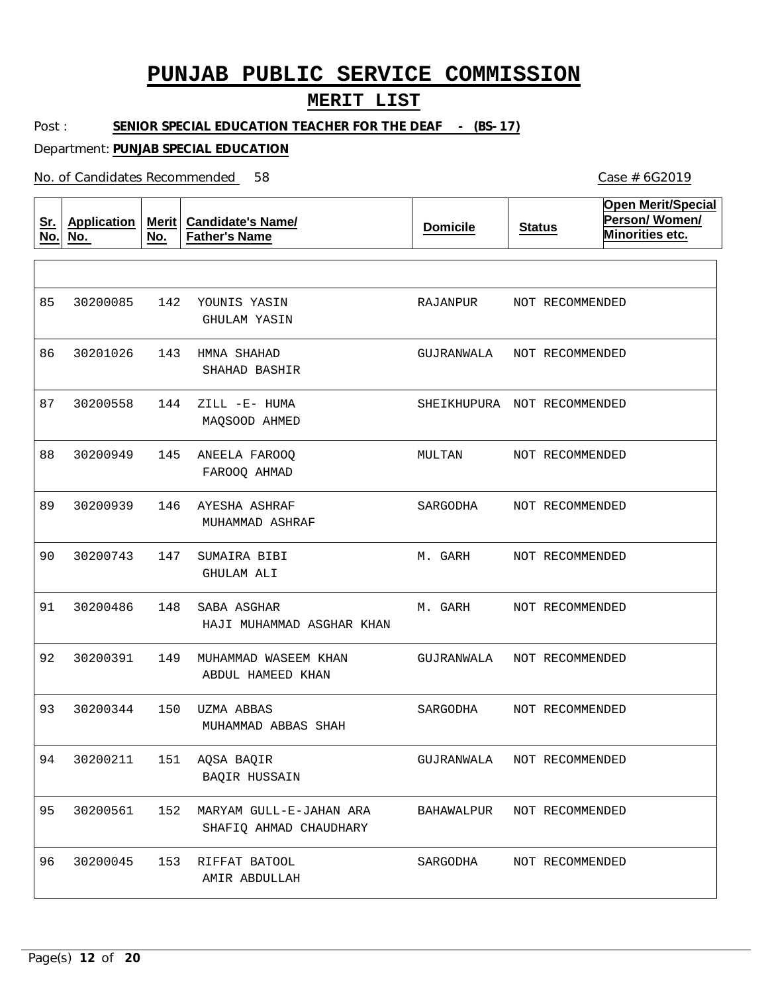### **MERIT LIST**

Post : **SENIOR SPECIAL EDUCATION TEACHER FOR THE DEAF - (BS-17)** 

Department: **PUNJAB SPECIAL EDUCATION**

| <u>Sr.</u><br>No. | <b>Application</b><br>No. | Merit<br>No. | <b>Candidate's Name/</b><br><b>Father's Name</b>  | <b>Domicile</b>             | <b>Status</b>   | <b>Open Merit/Special</b><br>Person/Women/<br>Minorities etc. |
|-------------------|---------------------------|--------------|---------------------------------------------------|-----------------------------|-----------------|---------------------------------------------------------------|
|                   |                           |              |                                                   |                             |                 |                                                               |
| 85                | 30200085                  | 142          | YOUNIS YASIN<br>GHULAM YASIN                      | RAJANPUR                    | NOT RECOMMENDED |                                                               |
| 86                | 30201026                  | 143          | HMNA SHAHAD<br>SHAHAD BASHIR                      | GUJRANWALA                  | NOT RECOMMENDED |                                                               |
| 87                | 30200558                  | 144          | ZILL -E- HUMA<br>MAQSOOD AHMED                    | SHEIKHUPURA NOT RECOMMENDED |                 |                                                               |
| 88                | 30200949                  | 145          | ANEELA FAROOQ<br>FAROOQ AHMAD                     | MULTAN                      | NOT RECOMMENDED |                                                               |
| 89                | 30200939                  | 146          | AYESHA ASHRAF<br>MUHAMMAD ASHRAF                  | SARGODHA                    | NOT RECOMMENDED |                                                               |
| 90                | 30200743                  | 147          | SUMAIRA BIBI<br><b>GHULAM ALI</b>                 | M. GARH                     | NOT RECOMMENDED |                                                               |
| 91                | 30200486                  | 148          | SABA ASGHAR<br>HAJI MUHAMMAD ASGHAR KHAN          | M. GARH                     | NOT RECOMMENDED |                                                               |
| 92                | 30200391                  | 149          | MUHAMMAD WASEEM KHAN<br>ABDUL HAMEED KHAN         | GUJRANWALA                  | NOT RECOMMENDED |                                                               |
| 93                | 30200344                  | 150          | UZMA ABBAS<br>MUHAMMAD ABBAS SHAH                 | SARGODHA                    | NOT RECOMMENDED |                                                               |
| 94                | 30200211                  |              | 151 AOSA BAOIR<br><b>BAQIR HUSSAIN</b>            | GUJRANWALA                  | NOT RECOMMENDED |                                                               |
| 95                | 30200561                  | 152          | MARYAM GULL-E-JAHAN ARA<br>SHAFIQ AHMAD CHAUDHARY | BAHAWALPUR                  | NOT RECOMMENDED |                                                               |
| 96                | 30200045                  | 153          | RIFFAT BATOOL<br>AMIR ABDULLAH                    | SARGODHA                    | NOT RECOMMENDED |                                                               |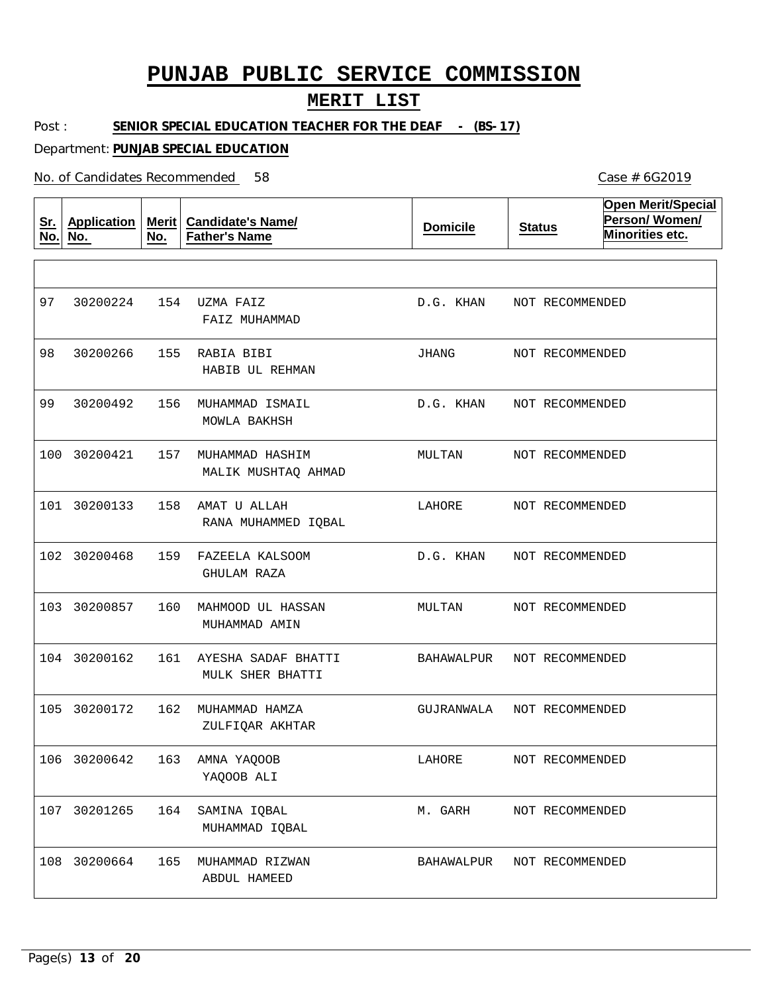### **MERIT LIST**

Post : **SENIOR SPECIAL EDUCATION TEACHER FOR THE DEAF - (BS-17)** 

Department: **PUNJAB SPECIAL EDUCATION**

No. of Candidates Recommended

| <u>Sr.</u><br>No. | <b>Application</b><br>No. | Merit<br>No. | <b>Candidate's Name/</b><br><b>Father's Name</b> | <b>Domicile</b> | <b>Status</b>   | <b>Open Merit/Special</b><br>Person/Women/<br>Minorities etc. |
|-------------------|---------------------------|--------------|--------------------------------------------------|-----------------|-----------------|---------------------------------------------------------------|
|                   |                           |              |                                                  |                 |                 |                                                               |
| 97                | 30200224                  | 154          | UZMA FAIZ<br>FAIZ MUHAMMAD                       | D.G. KHAN       | NOT RECOMMENDED |                                                               |
| 98                | 30200266                  | 155          | RABIA BIBI<br>HABIB UL REHMAN                    | JHANG           | NOT RECOMMENDED |                                                               |
| 99                | 30200492                  | 156          | MUHAMMAD ISMAIL<br>MOWLA BAKHSH                  | D.G. KHAN       | NOT RECOMMENDED |                                                               |
|                   | 100 30200421              | 157          | MUHAMMAD HASHIM<br>MALIK MUSHTAQ AHMAD           | MULTAN          | NOT RECOMMENDED |                                                               |
|                   | 101 30200133              | 158          | AMAT U ALLAH<br>RANA MUHAMMED IQBAL              | LAHORE          | NOT RECOMMENDED |                                                               |
|                   | 102 30200468              | 159          | FAZEELA KALSOOM<br>GHULAM RAZA                   | D.G. KHAN       | NOT RECOMMENDED |                                                               |
|                   | 103 30200857              | 160          | MAHMOOD UL HASSAN<br>MUHAMMAD AMIN               | MULTAN          | NOT RECOMMENDED |                                                               |
|                   | 104 30200162              | 161          | AYESHA SADAF BHATTI<br>MULK SHER BHATTI          | BAHAWALPUR      | NOT RECOMMENDED |                                                               |
|                   | 105 30200172              | 162          | MUHAMMAD HAMZA<br>ZULFIQAR AKHTAR                | GUJRANWALA      | NOT RECOMMENDED |                                                               |
|                   | 106 30200642              |              | 163 AMNA YAQOOB<br>YAQOOB ALI                    | LAHORE          | NOT RECOMMENDED |                                                               |
|                   | 107 30201265              | 164          | SAMINA IQBAL<br>MUHAMMAD IQBAL                   | M. GARH         | NOT RECOMMENDED |                                                               |
|                   | 108 30200664              | 165          | MUHAMMAD RIZWAN<br>ABDUL HAMEED                  | BAHAWALPUR      | NOT RECOMMENDED |                                                               |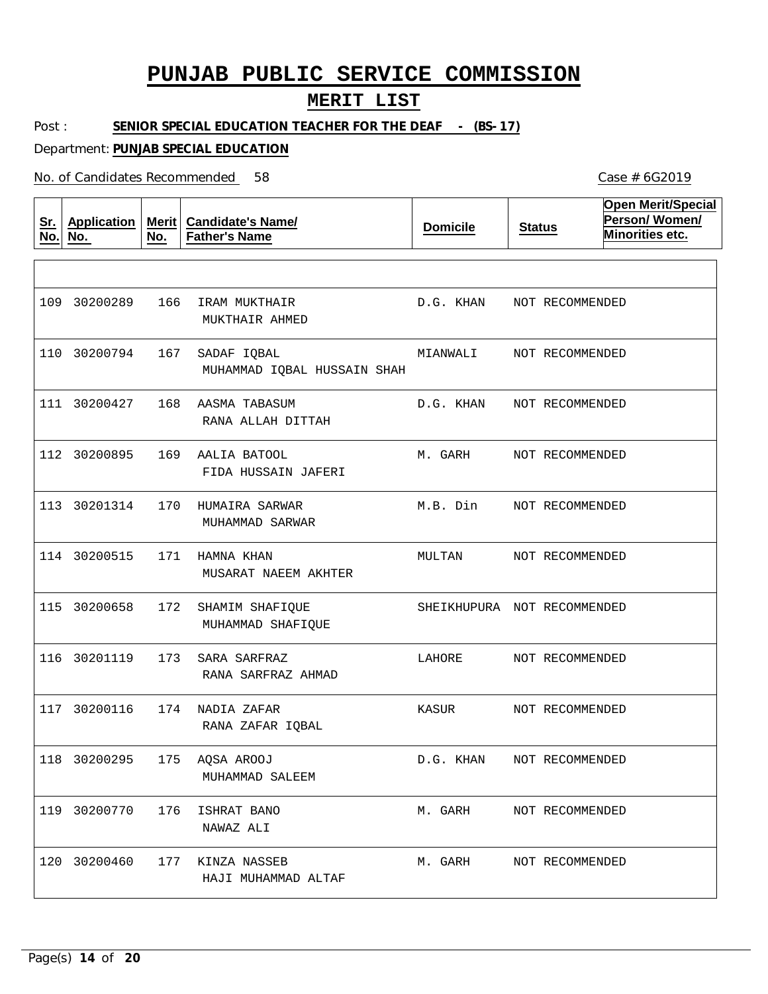### **MERIT LIST**

Post : **SENIOR SPECIAL EDUCATION TEACHER FOR THE DEAF - (BS-17)** 

Department: **PUNJAB SPECIAL EDUCATION**

| <u>Sr.</u><br>No. | <b>Application</b><br>No. | No. | Merit   Candidate's Name/<br><b>Father's Name</b> | <b>Domicile</b>             | <b>Status</b>   | <b>Open Merit/Special</b><br>Person/Women/<br>Minorities etc. |
|-------------------|---------------------------|-----|---------------------------------------------------|-----------------------------|-----------------|---------------------------------------------------------------|
|                   |                           |     |                                                   |                             |                 |                                                               |
|                   | 109 30200289              | 166 | IRAM MUKTHAIR<br>MUKTHAIR AHMED                   | D.G. KHAN                   | NOT RECOMMENDED |                                                               |
|                   | 110 30200794              | 167 | SADAF IQBAL<br>MUHAMMAD IQBAL HUSSAIN SHAH        | MIANWALI                    | NOT RECOMMENDED |                                                               |
|                   | 111 30200427              | 168 | AASMA TABASUM<br>RANA ALLAH DITTAH                | D.G. KHAN                   | NOT RECOMMENDED |                                                               |
|                   | 112 30200895              | 169 | AALIA BATOOL<br>FIDA HUSSAIN JAFERI               | M. GARH                     | NOT RECOMMENDED |                                                               |
|                   | 113 30201314              | 170 | HUMAIRA SARWAR<br>MUHAMMAD SARWAR                 | M.B. Din                    | NOT RECOMMENDED |                                                               |
|                   | 114 30200515              | 171 | HAMNA KHAN<br>MUSARAT NAEEM AKHTER                | MULTAN                      | NOT RECOMMENDED |                                                               |
|                   | 115 30200658              | 172 | SHAMIM SHAFIQUE<br>MUHAMMAD SHAFIQUE              | SHEIKHUPURA NOT RECOMMENDED |                 |                                                               |
|                   | 116 30201119              | 173 | SARA SARFRAZ<br>RANA SARFRAZ AHMAD                | LAHORE                      | NOT RECOMMENDED |                                                               |
|                   | 117 30200116              | 174 | NADIA ZAFAR<br>RANA ZAFAR IQBAL                   | KASUR                       | NOT RECOMMENDED |                                                               |
|                   | 118 30200295              | 175 | AQSA AROOJ<br>MUHAMMAD SALEEM                     | D.G. KHAN                   | NOT RECOMMENDED |                                                               |
|                   | 119 30200770              | 176 | ISHRAT BANO<br>NAWAZ ALI                          | M. GARH                     | NOT RECOMMENDED |                                                               |
|                   | 120 30200460              |     | 177 KINZA NASSEB<br>HAJI MUHAMMAD ALTAF           | M. GARH                     | NOT RECOMMENDED |                                                               |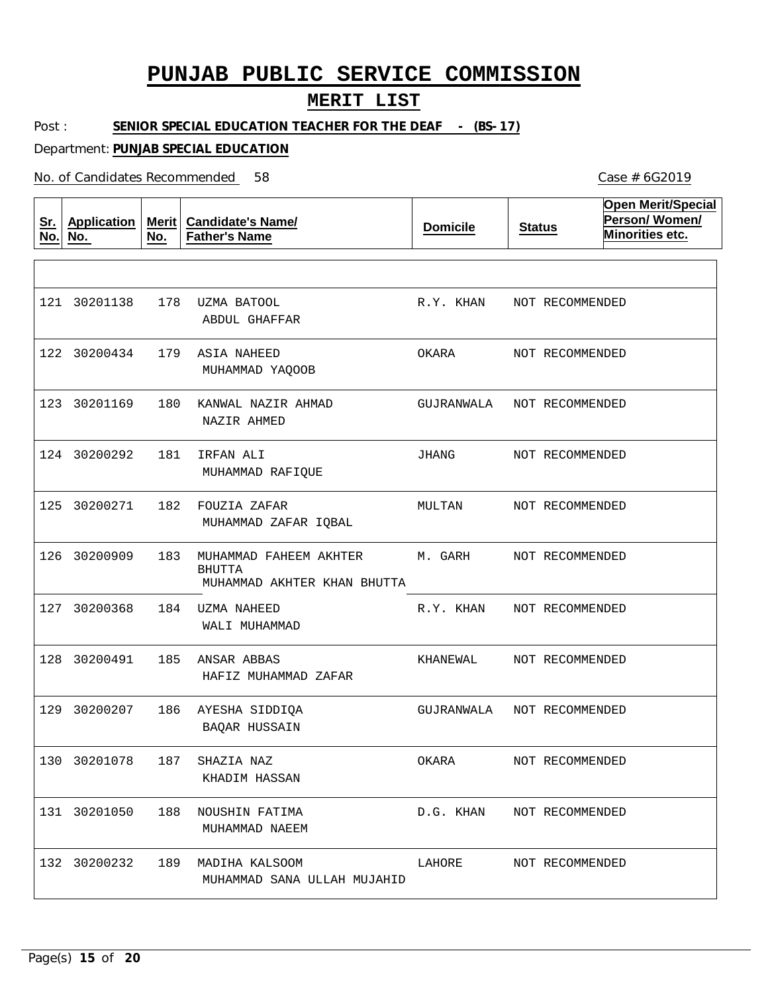#### **MERIT LIST**

Post : SENIOR SPECIAL EDUCATION TEACHER FOR THE DEAF - (BS-17)

Department: **PUNJAB SPECIAL EDUCATION**

No. of Candidates Recommended

**Sr. No. Application No. Merit No. Candidate's Name/ Father's Name Domicile Status Open Merit/Special Person/ Women/ Minorities etc.** 178 UZMA BATOOL 179 ASIA NAHEED 180 KANWAL NAZIR AHMAD 181 IRFAN ALI 182 FOUZIA ZAFAR 183 MUHAMMAD FAHEEM AKHTER 184 UZMA NAHEED 185 ANSAR ABBAS 128 30200491 186 AYESHA SIDDIQA 187 188 NOUSHIN FATIMA 131 30201050 189 MADIHA KALSOOM 132 30200232 BHUTTA SHAZIA NAZ ABDUL GHAFFAR MUHAMMAD YAQOOB NAZIR AHMED MUHAMMAD RAFIQUE MUHAMMAD ZAFAR IQBAL MUHAMMAD AKHTER KHAN BHUTTA WALI MUHAMMAD HAFIZ MUHAMMAD ZAFAR BAQAR HUSSAIN KHADIM HASSAN MUHAMMAD NAEEM MUHAMMAD SANA ULLAH MUJAHID 121 30201138 122 30200434 123 30201169 124 30200292 125 30200271 126 30200909 127 30200368 129 30200207 130 30201078 R.Y. KHAN OKARA GUJRANWALA JHANG MULTAN M. GARH R.Y. KHAN KHANEWAL GUJRANWALA NOT RECOMMENDED OKARA D.G. KHAN LAHORE NOT RECOMMENDED NOT RECOMMENDED NOT RECOMMENDED NOT RECOMMENDED NOT RECOMMENDED NOT RECOMMENDED NOT RECOMMENDED NOT RECOMMENDED NOT RECOMMENDED NOT RECOMMENDED NOT RECOMMENDED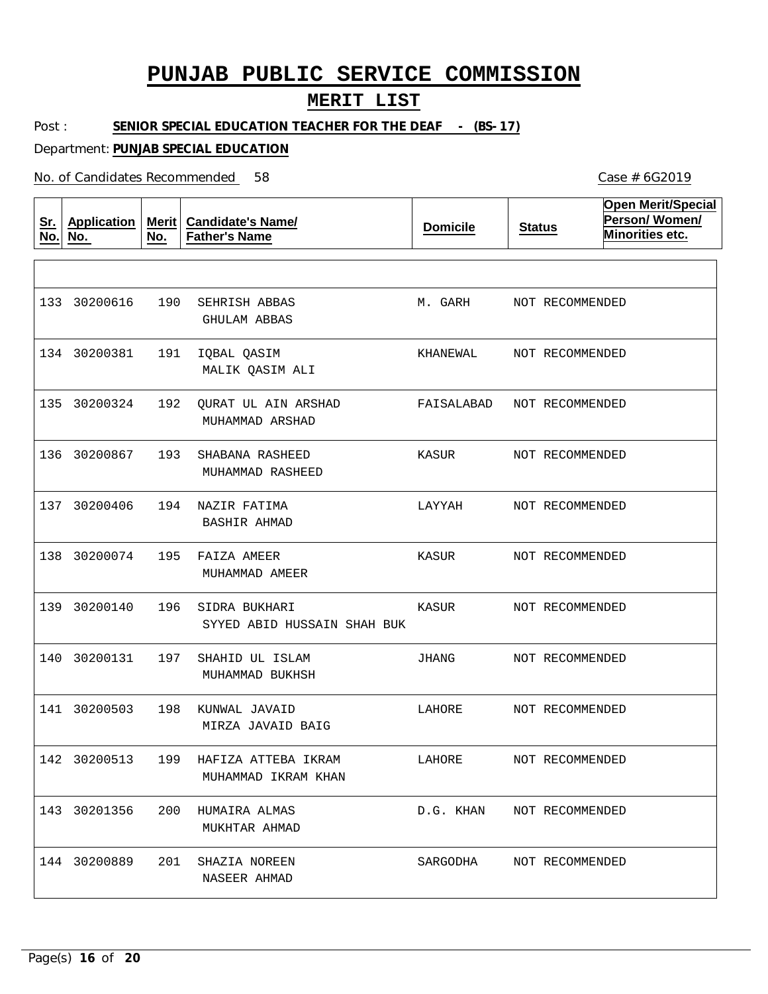### **MERIT LIST**

Post : **SENIOR SPECIAL EDUCATION TEACHER FOR THE DEAF - (BS-17)** 

Department: **PUNJAB SPECIAL EDUCATION**

No. of Candidates Recommended

| <u>Sr.</u><br>No. | <b>Application</b><br>No. | Merit<br>No. | <b>Candidate's Name/</b><br><b>Father's Name</b> | <b>Domicile</b> | <b>Status</b>   | <b>Open Merit/Special</b><br>Person/Women/<br>Minorities etc. |
|-------------------|---------------------------|--------------|--------------------------------------------------|-----------------|-----------------|---------------------------------------------------------------|
|                   |                           |              |                                                  |                 |                 |                                                               |
|                   | 133 30200616              | 190          | SEHRISH ABBAS<br><b>GHULAM ABBAS</b>             | M. GARH         | NOT RECOMMENDED |                                                               |
|                   | 134 30200381              | 191          | IQBAL QASIM<br>MALIK QASIM ALI                   | KHANEWAL        | NOT RECOMMENDED |                                                               |
|                   | 135 30200324              | 192          | QURAT UL AIN ARSHAD<br>MUHAMMAD ARSHAD           | FAISALABAD      | NOT RECOMMENDED |                                                               |
|                   | 136 30200867              | 193          | SHABANA RASHEED<br>MUHAMMAD RASHEED              | KASUR           | NOT RECOMMENDED |                                                               |
|                   | 137 30200406              | 194          | NAZIR FATIMA<br><b>BASHIR AHMAD</b>              | LAYYAH          | NOT RECOMMENDED |                                                               |
|                   | 138 30200074              | 195          | FAIZA AMEER<br>MUHAMMAD AMEER                    | KASUR           | NOT RECOMMENDED |                                                               |
|                   | 139 30200140              | 196          | SIDRA BUKHARI<br>SYYED ABID HUSSAIN SHAH BUK     | KASUR           | NOT RECOMMENDED |                                                               |
| 140               | 30200131                  | 197          | SHAHID UL ISLAM<br>MUHAMMAD BUKHSH               | JHANG           | NOT RECOMMENDED |                                                               |
|                   | 141 30200503              | 198          | KUNWAL JAVAID<br>MIRZA JAVAID BAIG               | LAHORE          | NOT RECOMMENDED |                                                               |
|                   | 142 30200513              | 199          | HAFIZA ATTEBA IKRAM<br>MUHAMMAD IKRAM KHAN       | LAHORE          | NOT RECOMMENDED |                                                               |
|                   | 143 30201356              | 200          | HUMAIRA ALMAS<br>MUKHTAR AHMAD                   | D.G. KHAN       | NOT RECOMMENDED |                                                               |
|                   | 144 30200889              | 201          | SHAZIA NOREEN<br>NASEER AHMAD                    | SARGODHA        | NOT RECOMMENDED |                                                               |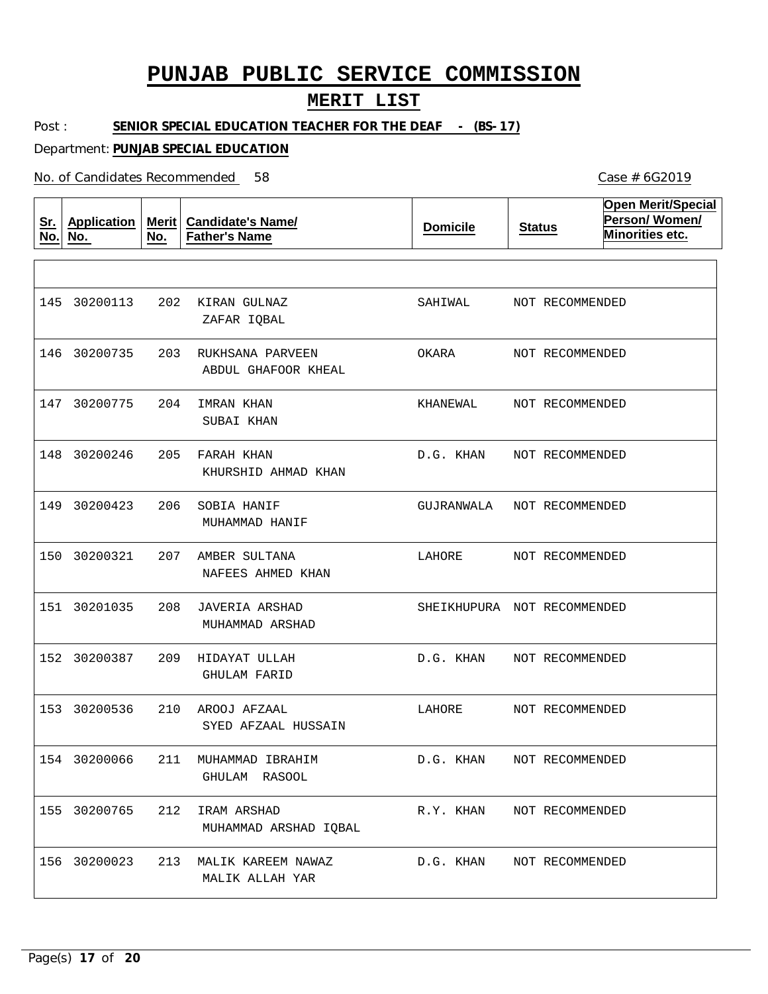### **MERIT LIST**

Post : **SENIOR SPECIAL EDUCATION TEACHER FOR THE DEAF - (BS-17)** 

Department: **PUNJAB SPECIAL EDUCATION**

No. of Candidates Recommended

| <u>Sr.</u><br>No. | <b>Application</b><br>No. | No. | Merit   Candidate's Name/<br><b>Father's Name</b> | <b>Domicile</b>             | <b>Status</b>   | <b>Open Merit/Special</b><br>Person/Women/<br>Minorities etc. |
|-------------------|---------------------------|-----|---------------------------------------------------|-----------------------------|-----------------|---------------------------------------------------------------|
|                   |                           |     |                                                   |                             |                 |                                                               |
|                   | 145 30200113              | 202 | KIRAN GULNAZ<br>ZAFAR IQBAL                       | SAHIWAL                     | NOT RECOMMENDED |                                                               |
| 146               | 30200735                  | 203 | RUKHSANA PARVEEN<br>ABDUL GHAFOOR KHEAL           | OKARA                       | NOT RECOMMENDED |                                                               |
|                   | 147 30200775              | 204 | IMRAN KHAN<br>SUBAI KHAN                          | KHANEWAL                    | NOT RECOMMENDED |                                                               |
|                   | 148 30200246              | 205 | FARAH KHAN<br>KHURSHID AHMAD KHAN                 | D.G. KHAN                   | NOT RECOMMENDED |                                                               |
|                   | 149 30200423              | 206 | SOBIA HANIF<br>MUHAMMAD HANIF                     | GUJRANWALA                  | NOT RECOMMENDED |                                                               |
| 150               | 30200321                  | 207 | AMBER SULTANA<br>NAFEES AHMED KHAN                | LAHORE                      | NOT RECOMMENDED |                                                               |
|                   | 151 30201035              | 208 | JAVERIA ARSHAD<br>MUHAMMAD ARSHAD                 | SHEIKHUPURA NOT RECOMMENDED |                 |                                                               |
|                   | 152 30200387              | 209 | HIDAYAT ULLAH<br><b>GHULAM FARID</b>              | D.G. KHAN                   | NOT RECOMMENDED |                                                               |
|                   | 153 30200536              | 210 | AROOJ AFZAAL<br>SYED AFZAAL HUSSAIN               | LAHORE                      | NOT RECOMMENDED |                                                               |
|                   | 154 30200066              | 211 | MUHAMMAD TRRAHIM<br>GHULAM RASOOL                 | D.G. KHAN                   | NOT RECOMMENDED |                                                               |
|                   | 155 30200765              | 212 | IRAM ARSHAD<br>MUHAMMAD ARSHAD IQBAL              | R.Y. KHAN                   | NOT RECOMMENDED |                                                               |
|                   | 156 30200023              | 213 | MALIK KAREEM NAWAZ<br>MALIK ALLAH YAR             | D.G. KHAN                   | NOT RECOMMENDED |                                                               |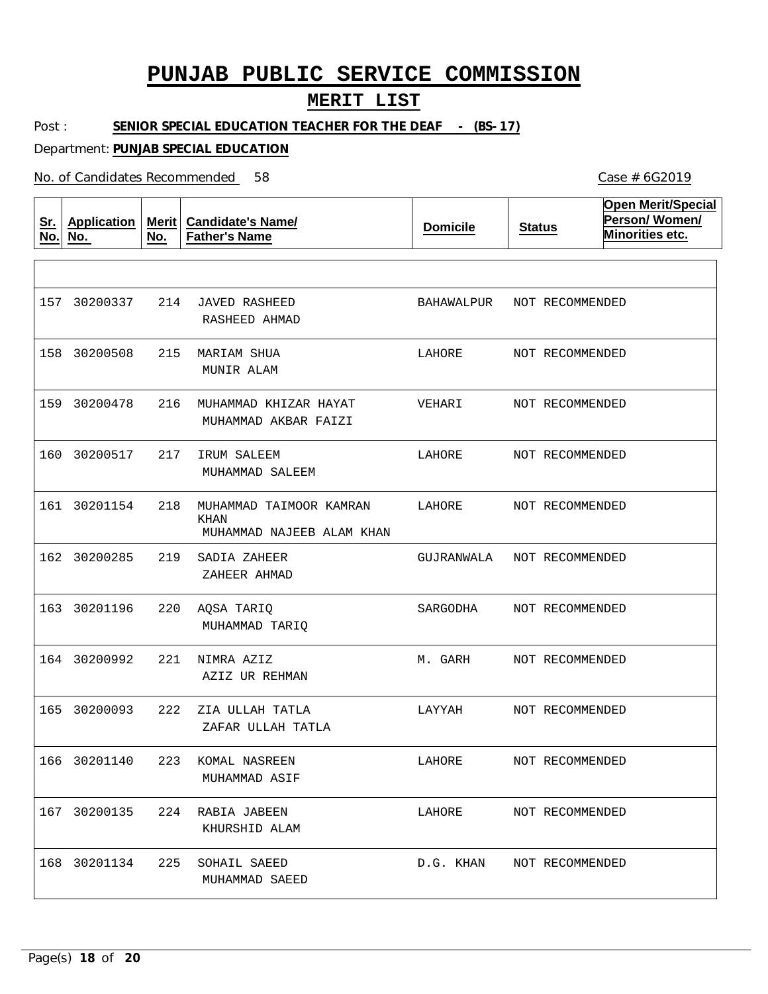#### **MERIT LIST**

Post : SENIOR SPECIAL EDUCATION TEACHER FOR THE DEAF - (BS-17)

Department: **PUNJAB SPECIAL EDUCATION**

No. of Candidates Recommended

**Sr. No. Application No. Merit Candidate's Name/ No. Father's Name Domicile Status Open Merit/Special Person/ Women/ Minorities etc.** 214 JAVED RASHEED 215 MARIAM SHUA 216 MUHAMMAD KHIZAR HAYAT 217 IRUM SALEEM 218 MUHAMMAD TAIMOOR KAMRAN 161 30201154 219 SADIA ZAHEER 220 AQSA TARIQ 221 NIMRA AZIZ 222 ZIA ULLAH TATLA 223 KOMAL NASREEN 224 RABIA JABEEN 167 30200135 225 SOHAIL SAEED 168 30201134 KHAN RASHEED AHMAD MUNIR ALAM MUHAMMAD AKBAR FAIZI MUHAMMAD SALEEM MUHAMMAD NAJEEB ALAM KHAN ZAHEER AHMAD MUHAMMAD TARIQ AZIZ UR REHMAN ZAFAR ULLAH TATLA MUHAMMAD ASIF KHURSHID ALAM MUHAMMAD SAEED 157 30200337 158 30200508 159 30200478 160 30200517 162 30200285 163 30201196 164 30200992 165 30200093 166 30201140 BAHAWALPUR NOT RECOMMENDED LAHORE VEHARI LAHORE LAHORE GUJRANWALA NOT RECOMMENDED SARGODHA M. GARH LAYYAH LAHORE LAHORE D.G. KHAN NOT RECOMMENDEDNOT RECOMMENDED NOT RECOMMENDED NOT RECOMMENDED NOT RECOMMENDED NOT RECOMMENDED NOT RECOMMENDED NOT RECOMMENDED NOT RECOMMENDED NOT RECOMMENDED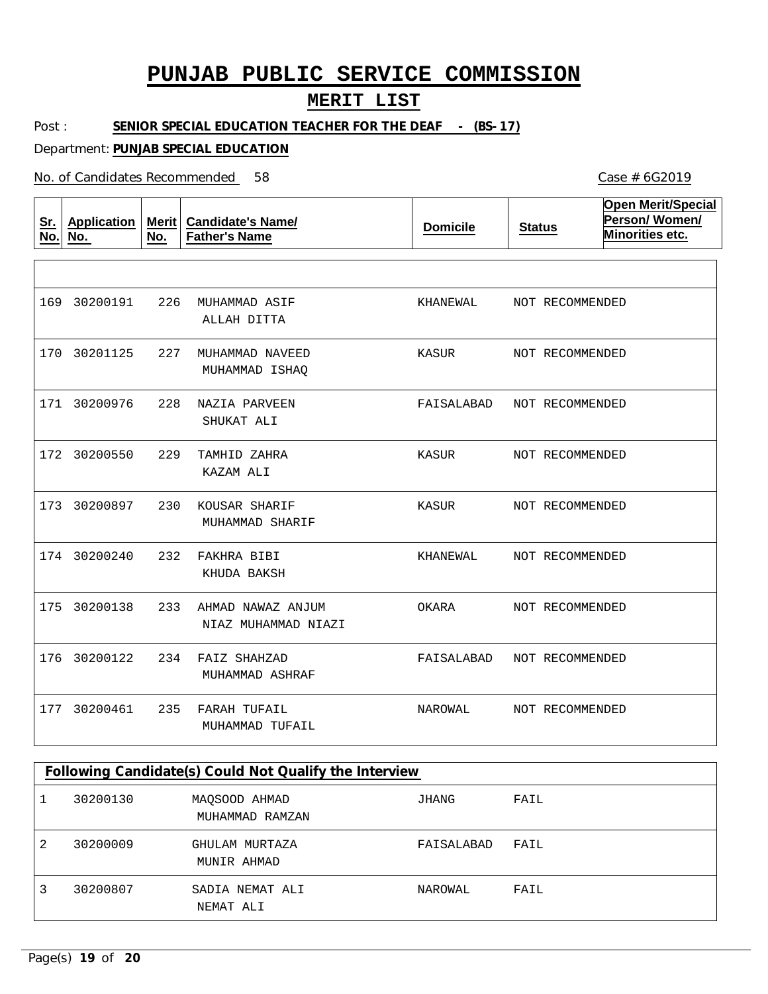### **MERIT LIST**

Post : **SENIOR SPECIAL EDUCATION TEACHER FOR THE DEAF - (BS-17)** 

Department: **PUNJAB SPECIAL EDUCATION**

| <u>Sr.</u><br>No. | <b>Application</b><br>No. | <b>Merit</b><br>No. | <b>Candidate's Name/</b><br><b>Father's Name</b> | <b>Domicile</b> | <b>Status</b>   | <b>Open Merit/Special</b><br>Person/Women/<br>Minorities etc. |
|-------------------|---------------------------|---------------------|--------------------------------------------------|-----------------|-----------------|---------------------------------------------------------------|
|                   |                           |                     |                                                  |                 |                 |                                                               |
| 169               | 30200191                  | 226                 | MUHAMMAD ASIF<br>ALLAH DITTA                     | KHANEWAL        | NOT RECOMMENDED |                                                               |
| 170               | 30201125                  | 227                 | MUHAMMAD NAVEED<br>MUHAMMAD ISHAQ                | KASUR           | NOT RECOMMENDED |                                                               |
| 171               | 30200976                  | 228                 | NAZIA PARVEEN<br>SHUKAT ALI                      | FAISALABAD      | NOT RECOMMENDED |                                                               |
| 172               | 30200550                  | 229                 | TAMHID ZAHRA<br>KAZAM ALI                        | KASUR           | NOT RECOMMENDED |                                                               |
| 173               | 30200897                  | 230                 | KOUSAR SHARIF<br>MUHAMMAD SHARIF                 | KASUR           | NOT RECOMMENDED |                                                               |
|                   | 174 30200240              | 232                 | FAKHRA BIBI<br>KHUDA BAKSH                       | KHANEWAL        | NOT RECOMMENDED |                                                               |
| 175               | 30200138                  | 233                 | AHMAD NAWAZ ANJUM<br>NIAZ MUHAMMAD NIAZI         | OKARA           | NOT RECOMMENDED |                                                               |
| 176               | 30200122                  | 234                 | FAIZ SHAHZAD<br>MUHAMMAD ASHRAF                  | FAISALABAD      | NOT RECOMMENDED |                                                               |
| 177               | 30200461                  | 235                 | FARAH TUFAIL<br>MUHAMMAD TUFAIL                  | NAROWAL         | NOT RECOMMENDED |                                                               |

| Following Candidate(s) Could Not Qualify the Interview |          |                                  |            |      |  |  |  |
|--------------------------------------------------------|----------|----------------------------------|------------|------|--|--|--|
|                                                        | 30200130 | MAOSOOD AHMAD<br>MUHAMMAD RAMZAN | JHANG      | FAIL |  |  |  |
| 2                                                      | 30200009 | GHULAM MURTAZA<br>MUNIR AHMAD    | FAISALABAD | FAIL |  |  |  |
| 3                                                      | 30200807 | SADIA NEMAT ALI<br>NEMAT ALI     | NAROWAL    | FAIL |  |  |  |